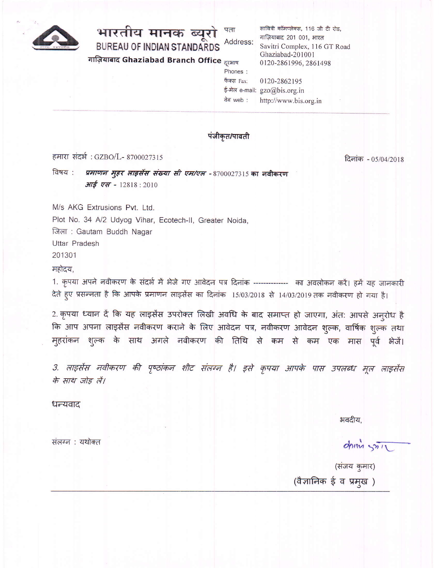

## भारतीय मानक ब्यूर पता **Addres BUREAU OF INDIAN STANDARDS** गाज़ियाबाद Ghaziabad Branch Office <sub>दूरभाष</sub>

| पता        | सावित्री कॉमप्लेक्स, 116 जी टी रोड, |
|------------|-------------------------------------|
| Address:   | गाज़ियाबाद 201 001, भारत            |
|            | Savitri Complex, 116 GT Road        |
|            | Ghaziabad-201001                    |
| दरभाष      | 0120-2861996, 2861498               |
| Phones:    |                                     |
| फैक्स Fax: | 0120-2862195                        |
|            | ई-मेल e-mail: gzo@bis.org.in        |
| वेब web :  | http://www.bis.org.in               |

## पंजीकृत/पावती

हमारा संदर्भ: GZBO/L- 8700027315

दिनांक - 05/04/2018

प्रमाणन मुहर लाइसेंस संख्या सी एम/एल -8700027315 का नवीकरण विषय : **आई एस -** 12818 : 2010

M/s AKG Extrusions Pvt. Ltd. Plot No. 34 A/2 Udyog Vihar, Ecotech-II, Greater Noida, जिला: Gautam Buddh Nagar Uttar Pradesh

201301

महोदय,

1. कृपया अपने नवीकरण के संदर्भ में भेजे गए आवेदन पत्र दिनांक -------------- का अवलोकन करें। हमें यह जानकारी देते हुए प्रसन्नता है कि आपके प्रमाणन लाइसेंस का दिनांक 15/03/2018 से 14/03/2019 तक नवीकरण हो गया है।

2. कृपया ध्यान दें कि यह लाइसेंस उपरोक्त लिखी अवधि के बाद समाप्त हो जाएगा, अंत: आपसे अनूरोध है कि आप अपना लाइसेंस नवीकरण कराने के लिए आवेदन पत्र, नवीकरण आवेदन शुल्क, वार्षिक शुल्क तथा मुहरांकन शुल्क के साथ अगले नवीकरण की तिथि से कम से कम एक मास पूर्व भेजें।

3. लाइसेंस नवीकरण की पृष्ठांकन शीट संलग्न है। इसे कृपया आपके पास उपलब्ध मूल लाइसेंस के साथ जोड़ लें।

धन्यवाद

भवदीय.

संलग्न : यथोक्त

dring stil

(संजय कुमार) (वैज्ञानिक ई व प्रमुख)